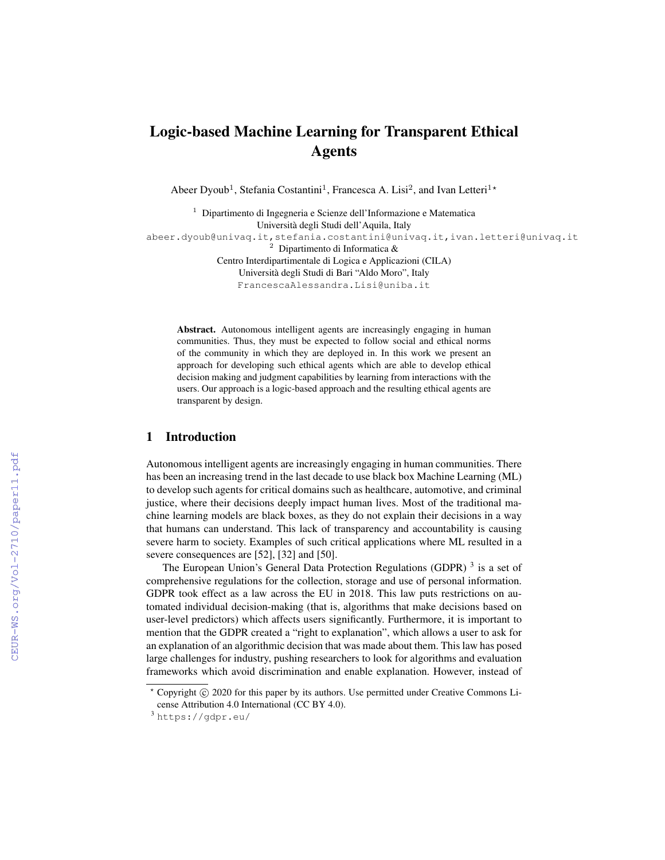# Logic-based Machine Learning for Transparent Ethical Agents

Abeer Dyoub<sup>1</sup>, Stefania Costantini<sup>1</sup>, Francesca A. Lisi<sup>2</sup>, and Ivan Letteri<sup>1\*</sup>

<sup>1</sup> Dipartimento di Ingegneria e Scienze dell'Informazione e Matematica Universita degli Studi dell'Aquila, Italy ` abeer.dyoub@univaq.it,stefania.costantini@univaq.it,ivan.letteri@univaq.it <sup>2</sup> Dipartimento di Informatica & Centro Interdipartimentale di Logica e Applicazioni (CILA) Universita degli Studi di Bari "Aldo Moro", Italy ` FrancescaAlessandra.Lisi@uniba.it

Abstract. Autonomous intelligent agents are increasingly engaging in human communities. Thus, they must be expected to follow social and ethical norms of the community in which they are deployed in. In this work we present an approach for developing such ethical agents which are able to develop ethical decision making and judgment capabilities by learning from interactions with the users. Our approach is a logic-based approach and the resulting ethical agents are transparent by design.

# 1 Introduction

Autonomous intelligent agents are increasingly engaging in human communities. There has been an increasing trend in the last decade to use black box Machine Learning (ML) to develop such agents for critical domains such as healthcare, automotive, and criminal justice, where their decisions deeply impact human lives. Most of the traditional machine learning models are black boxes, as they do not explain their decisions in a way that humans can understand. This lack of transparency and accountability is causing severe harm to society. Examples of such critical applications where ML resulted in a severe consequences are [52], [32] and [50].

The European Union's General Data Protection Regulations (GDPR)<sup>3</sup> is a set of comprehensive regulations for the collection, storage and use of personal information. GDPR took effect as a law across the EU in 2018. This law puts restrictions on automated individual decision-making (that is, algorithms that make decisions based on user-level predictors) which affects users significantly. Furthermore, it is important to mention that the GDPR created a "right to explanation", which allows a user to ask for an explanation of an algorithmic decision that was made about them. This law has posed large challenges for industry, pushing researchers to look for algorithms and evaluation frameworks which avoid discrimination and enable explanation. However, instead of

 $*$  Copyright  $\circled{c}$  2020 for this paper by its authors. Use permitted under Creative Commons License Attribution 4.0 International (CC BY 4.0).

<sup>3</sup> https://gdpr.eu/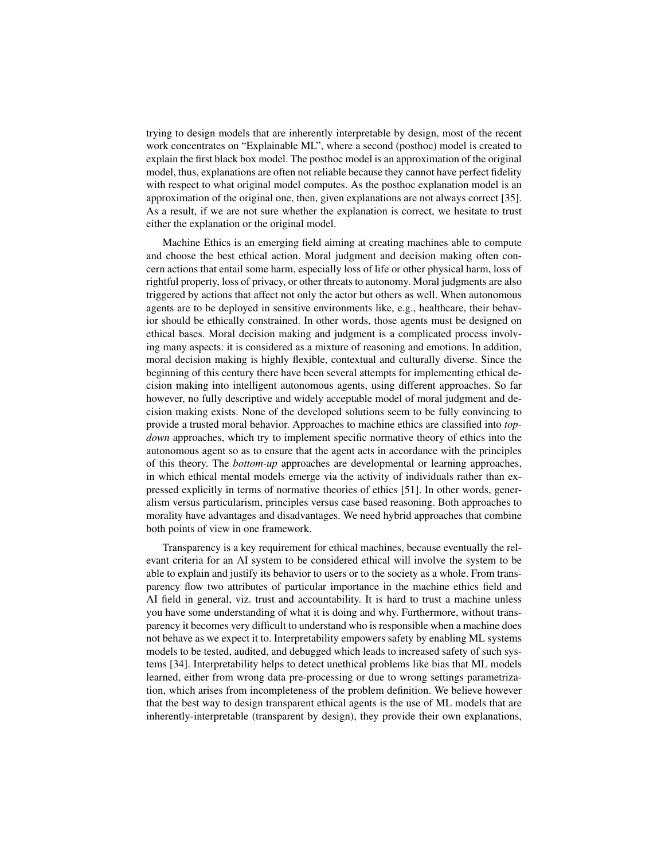trying to design models that are inherently interpretable by design, most of the recent work concentrates on "Explainable ML", where a second (posthoc) model is created to explain the first black box model. The posthoc model is an approximation of the original model, thus, explanations are often not reliable because they cannot have perfect fidelity with respect to what original model computes. As the posthoc explanation model is an approximation of the original one, then, given explanations are not always correct [35]. As a result, if we are not sure whether the explanation is correct, we hesitate to trust either the explanation or the original model.

Machine Ethics is an emerging field aiming at creating machines able to compute and choose the best ethical action. Moral judgment and decision making often concern actions that entail some harm, especially loss of life or other physical harm, loss of rightful property, loss of privacy, or other threats to autonomy. Moral judgments are also triggered by actions that affect not only the actor but others as well. When autonomous agents are to be deployed in sensitive environments like, e.g., healthcare, their behavior should be ethically constrained. In other words, those agents must be designed on ethical bases. Moral decision making and judgment is a complicated process involving many aspects: it is considered as a mixture of reasoning and emotions. In addition, moral decision making is highly flexible, contextual and culturally diverse. Since the beginning of this century there have been several attempts for implementing ethical decision making into intelligent autonomous agents, using different approaches. So far however, no fully descriptive and widely acceptable model of moral judgment and decision making exists. None of the developed solutions seem to be fully convincing to provide a trusted moral behavior. Approaches to machine ethics are classified into *topdown* approaches, which try to implement specific normative theory of ethics into the autonomous agent so as to ensure that the agent acts in accordance with the principles of this theory. The *bottom-up* approaches are developmental or learning approaches, in which ethical mental models emerge via the activity of individuals rather than expressed explicitly in terms of normative theories of ethics [51]. In other words, generalism versus particularism, principles versus case based reasoning. Both approaches to morality have advantages and disadvantages. We need hybrid approaches that combine both points of view in one framework.

Transparency is a key requirement for ethical machines, because eventually the relevant criteria for an AI system to be considered ethical will involve the system to be able to explain and justify its behavior to users or to the society as a whole. From transparency flow two attributes of particular importance in the machine ethics field and AI field in general, viz. trust and accountability. It is hard to trust a machine unless you have some understanding of what it is doing and why. Furthermore, without transparency it becomes very difficult to understand who is responsible when a machine does not behave as we expect it to. Interpretability empowers safety by enabling ML systems models to be tested, audited, and debugged which leads to increased safety of such systems [34]. Interpretability helps to detect unethical problems like bias that ML models learned, either from wrong data pre-processing or due to wrong settings parametrization, which arises from incompleteness of the problem definition. We believe however that the best way to design transparent ethical agents is the use of ML models that are inherently-interpretable (transparent by design), they provide their own explanations,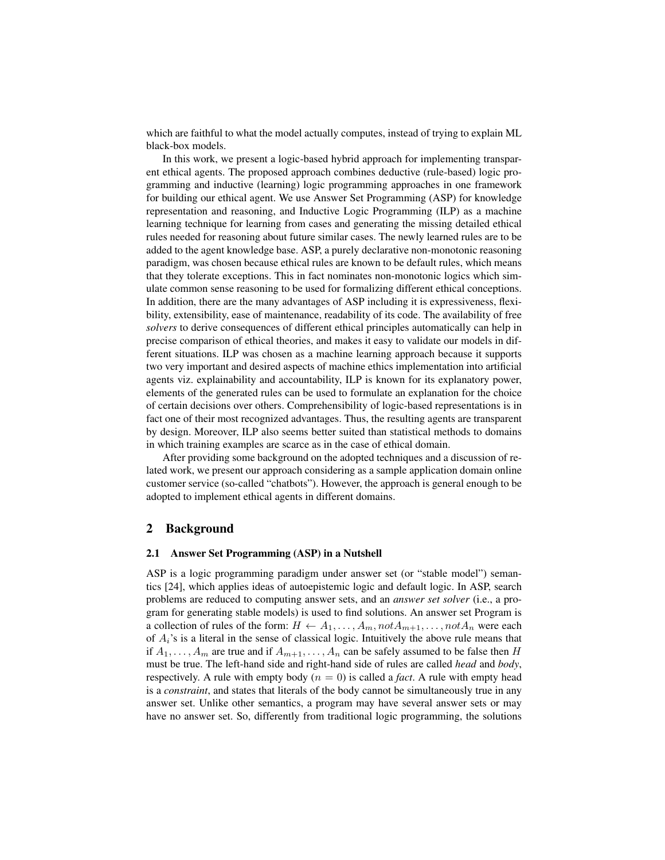which are faithful to what the model actually computes, instead of trying to explain ML black-box models.

In this work, we present a logic-based hybrid approach for implementing transparent ethical agents. The proposed approach combines deductive (rule-based) logic programming and inductive (learning) logic programming approaches in one framework for building our ethical agent. We use Answer Set Programming (ASP) for knowledge representation and reasoning, and Inductive Logic Programming (ILP) as a machine learning technique for learning from cases and generating the missing detailed ethical rules needed for reasoning about future similar cases. The newly learned rules are to be added to the agent knowledge base. ASP, a purely declarative non-monotonic reasoning paradigm, was chosen because ethical rules are known to be default rules, which means that they tolerate exceptions. This in fact nominates non-monotonic logics which simulate common sense reasoning to be used for formalizing different ethical conceptions. In addition, there are the many advantages of ASP including it is expressiveness, flexibility, extensibility, ease of maintenance, readability of its code. The availability of free *solvers* to derive consequences of different ethical principles automatically can help in precise comparison of ethical theories, and makes it easy to validate our models in different situations. ILP was chosen as a machine learning approach because it supports two very important and desired aspects of machine ethics implementation into artificial agents viz. explainability and accountability, ILP is known for its explanatory power, elements of the generated rules can be used to formulate an explanation for the choice of certain decisions over others. Comprehensibility of logic-based representations is in fact one of their most recognized advantages. Thus, the resulting agents are transparent by design. Moreover, ILP also seems better suited than statistical methods to domains in which training examples are scarce as in the case of ethical domain.

After providing some background on the adopted techniques and a discussion of related work, we present our approach considering as a sample application domain online customer service (so-called "chatbots"). However, the approach is general enough to be adopted to implement ethical agents in different domains.

# 2 Background

#### 2.1 Answer Set Programming (ASP) in a Nutshell

ASP is a logic programming paradigm under answer set (or "stable model") semantics [24], which applies ideas of autoepistemic logic and default logic. In ASP, search problems are reduced to computing answer sets, and an *answer set solver* (i.e., a program for generating stable models) is used to find solutions. An answer set Program is a collection of rules of the form:  $H \leftarrow A_1, \ldots, A_m, not A_{m+1}, \ldots, not A_n$  were each of  $A_i$ 's is a literal in the sense of classical logic. Intuitively the above rule means that if  $A_1, \ldots, A_m$  are true and if  $A_{m+1}, \ldots, A_n$  can be safely assumed to be false then H must be true. The left-hand side and right-hand side of rules are called *head* and *body*, respectively. A rule with empty body  $(n = 0)$  is called a *fact*. A rule with empty head is a *constraint*, and states that literals of the body cannot be simultaneously true in any answer set. Unlike other semantics, a program may have several answer sets or may have no answer set. So, differently from traditional logic programming, the solutions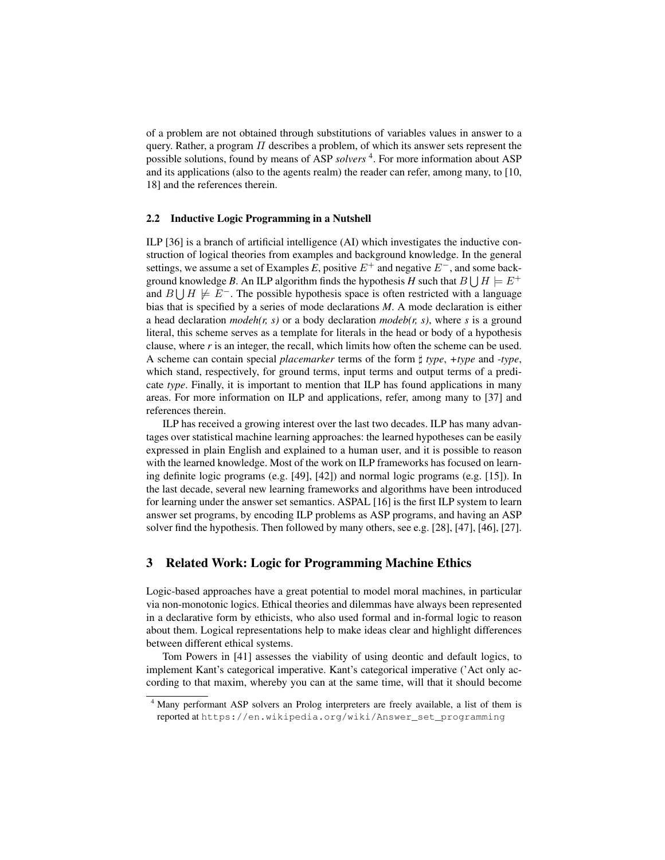of a problem are not obtained through substitutions of variables values in answer to a query. Rather, a program  $\Pi$  describes a problem, of which its answer sets represent the possible solutions, found by means of ASP *solvers*<sup>4</sup>. For more information about ASP and its applications (also to the agents realm) the reader can refer, among many, to [10, 18] and the references therein.

#### 2.2 Inductive Logic Programming in a Nutshell

ILP [36] is a branch of artificial intelligence (AI) which investigates the inductive construction of logical theories from examples and background knowledge. In the general settings, we assume a set of Examples *E*, positive  $E^+$  and negative  $E^-$ , and some background knowledge *B*. An ILP algorithm finds the hypothesis *H* such that  $B \bigcup H \models E^+$ and  $B \cup H \not\models E^-$ . The possible hypothesis space is often restricted with a language bias that is specified by a series of mode declarations *M*. A mode declaration is either a head declaration *modeh(r, s)* or a body declaration *modeb(r, s)*, where *s* is a ground literal, this scheme serves as a template for literals in the head or body of a hypothesis clause, where *r* is an integer, the recall, which limits how often the scheme can be used. A scheme can contain special *placemarker* terms of the form ] *type*, *+type* and *-type*, which stand, respectively, for ground terms, input terms and output terms of a predicate *type*. Finally, it is important to mention that ILP has found applications in many areas. For more information on ILP and applications, refer, among many to [37] and references therein.

ILP has received a growing interest over the last two decades. ILP has many advantages over statistical machine learning approaches: the learned hypotheses can be easily expressed in plain English and explained to a human user, and it is possible to reason with the learned knowledge. Most of the work on ILP frameworks has focused on learning definite logic programs (e.g. [49], [42]) and normal logic programs (e.g. [15]). In the last decade, several new learning frameworks and algorithms have been introduced for learning under the answer set semantics. ASPAL [16] is the first ILP system to learn answer set programs, by encoding ILP problems as ASP programs, and having an ASP solver find the hypothesis. Then followed by many others, see e.g. [28], [47], [46], [27].

# 3 Related Work: Logic for Programming Machine Ethics

Logic-based approaches have a great potential to model moral machines, in particular via non-monotonic logics. Ethical theories and dilemmas have always been represented in a declarative form by ethicists, who also used formal and in-formal logic to reason about them. Logical representations help to make ideas clear and highlight differences between different ethical systems.

Tom Powers in [41] assesses the viability of using deontic and default logics, to implement Kant's categorical imperative. Kant's categorical imperative ('Act only according to that maxim, whereby you can at the same time, will that it should become

<sup>4</sup> Many performant ASP solvers an Prolog interpreters are freely available, a list of them is reported at https://en.wikipedia.org/wiki/Answer\_set\_programming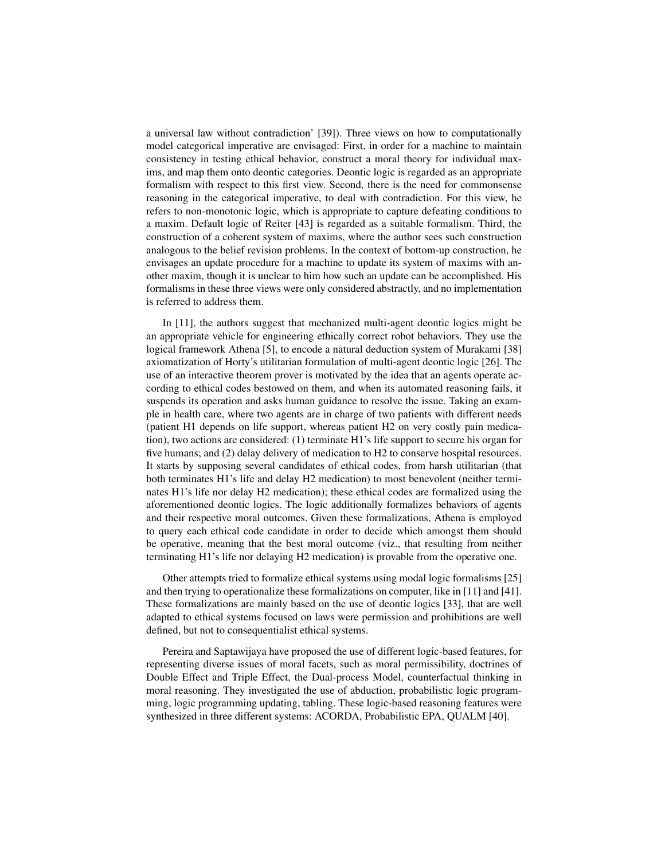a universal law without contradiction' [39]). Three views on how to computationally model categorical imperative are envisaged: First, in order for a machine to maintain consistency in testing ethical behavior, construct a moral theory for individual maxims, and map them onto deontic categories. Deontic logic is regarded as an appropriate formalism with respect to this first view. Second, there is the need for commonsense reasoning in the categorical imperative, to deal with contradiction. For this view, he refers to non-monotonic logic, which is appropriate to capture defeating conditions to a maxim. Default logic of Reiter [43] is regarded as a suitable formalism. Third, the construction of a coherent system of maxims, where the author sees such construction analogous to the belief revision problems. In the context of bottom-up construction, he envisages an update procedure for a machine to update its system of maxims with another maxim, though it is unclear to him how such an update can be accomplished. His formalisms in these three views were only considered abstractly, and no implementation is referred to address them.

In [11], the authors suggest that mechanized multi-agent deontic logics might be an appropriate vehicle for engineering ethically correct robot behaviors. They use the logical framework Athena [5], to encode a natural deduction system of Murakami [38] axiomatization of Horty's utilitarian formulation of multi-agent deontic logic [26]. The use of an interactive theorem prover is motivated by the idea that an agents operate according to ethical codes bestowed on them, and when its automated reasoning fails, it suspends its operation and asks human guidance to resolve the issue. Taking an example in health care, where two agents are in charge of two patients with different needs (patient H1 depends on life support, whereas patient H2 on very costly pain medication), two actions are considered: (1) terminate H1's life support to secure his organ for five humans; and (2) delay delivery of medication to H2 to conserve hospital resources. It starts by supposing several candidates of ethical codes, from harsh utilitarian (that both terminates H1's life and delay H2 medication) to most benevolent (neither terminates H1's life nor delay H2 medication); these ethical codes are formalized using the aforementioned deontic logics. The logic additionally formalizes behaviors of agents and their respective moral outcomes. Given these formalizations, Athena is employed to query each ethical code candidate in order to decide which amongst them should be operative, meaning that the best moral outcome (viz., that resulting from neither terminating H1's life nor delaying H2 medication) is provable from the operative one.

Other attempts tried to formalize ethical systems using modal logic formalisms [25] and then trying to operationalize these formalizations on computer, like in [11] and [41]. These formalizations are mainly based on the use of deontic logics [33], that are well adapted to ethical systems focused on laws were permission and prohibitions are well defined, but not to consequentialist ethical systems.

Pereira and Saptawijaya have proposed the use of different logic-based features, for representing diverse issues of moral facets, such as moral permissibility, doctrines of Double Effect and Triple Effect, the Dual-process Model, counterfactual thinking in moral reasoning. They investigated the use of abduction, probabilistic logic programming, logic programming updating, tabling. These logic-based reasoning features were synthesized in three different systems: ACORDA, Probabilistic EPA, QUALM [40].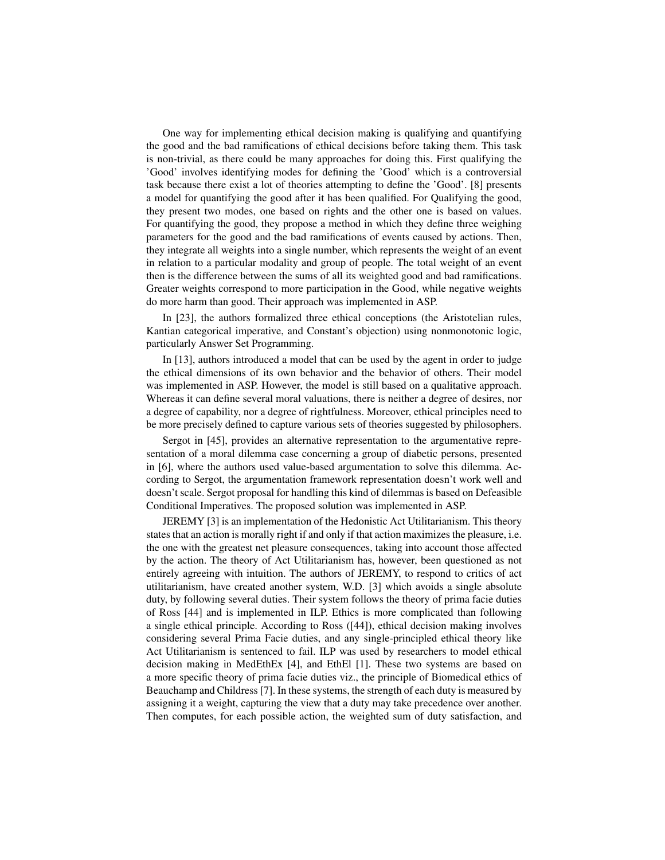One way for implementing ethical decision making is qualifying and quantifying the good and the bad ramifications of ethical decisions before taking them. This task is non-trivial, as there could be many approaches for doing this. First qualifying the 'Good' involves identifying modes for defining the 'Good' which is a controversial task because there exist a lot of theories attempting to define the 'Good'. [8] presents a model for quantifying the good after it has been qualified. For Qualifying the good, they present two modes, one based on rights and the other one is based on values. For quantifying the good, they propose a method in which they define three weighing parameters for the good and the bad ramifications of events caused by actions. Then, they integrate all weights into a single number, which represents the weight of an event in relation to a particular modality and group of people. The total weight of an event then is the difference between the sums of all its weighted good and bad ramifications. Greater weights correspond to more participation in the Good, while negative weights do more harm than good. Their approach was implemented in ASP.

In [23], the authors formalized three ethical conceptions (the Aristotelian rules, Kantian categorical imperative, and Constant's objection) using nonmonotonic logic, particularly Answer Set Programming.

In [13], authors introduced a model that can be used by the agent in order to judge the ethical dimensions of its own behavior and the behavior of others. Their model was implemented in ASP. However, the model is still based on a qualitative approach. Whereas it can define several moral valuations, there is neither a degree of desires, nor a degree of capability, nor a degree of rightfulness. Moreover, ethical principles need to be more precisely defined to capture various sets of theories suggested by philosophers.

Sergot in [45], provides an alternative representation to the argumentative representation of a moral dilemma case concerning a group of diabetic persons, presented in [6], where the authors used value-based argumentation to solve this dilemma. According to Sergot, the argumentation framework representation doesn't work well and doesn't scale. Sergot proposal for handling this kind of dilemmas is based on Defeasible Conditional Imperatives. The proposed solution was implemented in ASP.

JEREMY [3] is an implementation of the Hedonistic Act Utilitarianism. This theory states that an action is morally right if and only if that action maximizes the pleasure, i.e. the one with the greatest net pleasure consequences, taking into account those affected by the action. The theory of Act Utilitarianism has, however, been questioned as not entirely agreeing with intuition. The authors of JEREMY, to respond to critics of act utilitarianism, have created another system, W.D. [3] which avoids a single absolute duty, by following several duties. Their system follows the theory of prima facie duties of Ross [44] and is implemented in ILP. Ethics is more complicated than following a single ethical principle. According to Ross ([44]), ethical decision making involves considering several Prima Facie duties, and any single-principled ethical theory like Act Utilitarianism is sentenced to fail. ILP was used by researchers to model ethical decision making in MedEthEx [4], and EthEl [1]. These two systems are based on a more specific theory of prima facie duties viz., the principle of Biomedical ethics of Beauchamp and Childress [7]. In these systems, the strength of each duty is measured by assigning it a weight, capturing the view that a duty may take precedence over another. Then computes, for each possible action, the weighted sum of duty satisfaction, and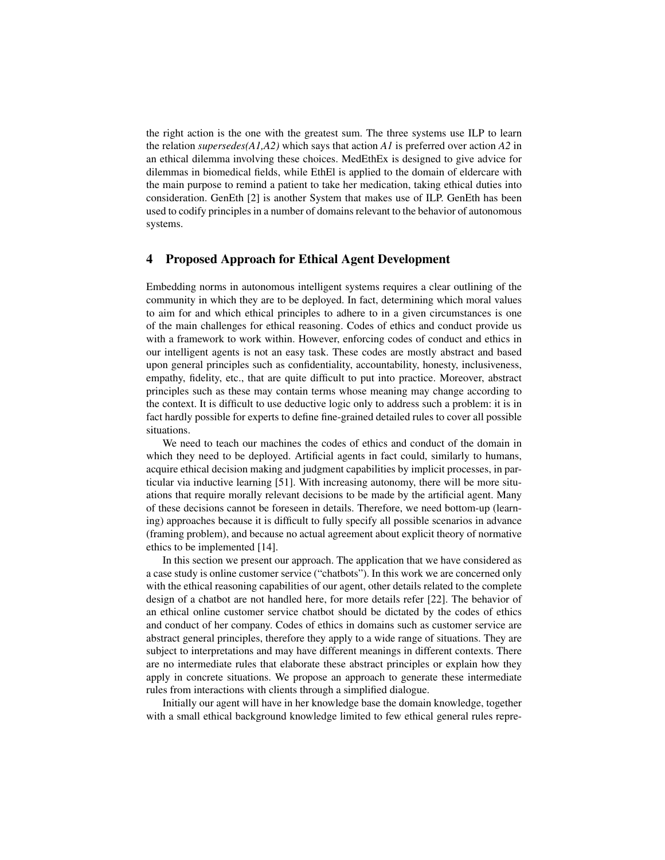the right action is the one with the greatest sum. The three systems use ILP to learn the relation *supersedes(A1,A2)* which says that action *A1* is preferred over action *A2* in an ethical dilemma involving these choices. MedEthEx is designed to give advice for dilemmas in biomedical fields, while EthEl is applied to the domain of eldercare with the main purpose to remind a patient to take her medication, taking ethical duties into consideration. GenEth [2] is another System that makes use of ILP. GenEth has been used to codify principles in a number of domains relevant to the behavior of autonomous systems.

### 4 Proposed Approach for Ethical Agent Development

Embedding norms in autonomous intelligent systems requires a clear outlining of the community in which they are to be deployed. In fact, determining which moral values to aim for and which ethical principles to adhere to in a given circumstances is one of the main challenges for ethical reasoning. Codes of ethics and conduct provide us with a framework to work within. However, enforcing codes of conduct and ethics in our intelligent agents is not an easy task. These codes are mostly abstract and based upon general principles such as confidentiality, accountability, honesty, inclusiveness, empathy, fidelity, etc., that are quite difficult to put into practice. Moreover, abstract principles such as these may contain terms whose meaning may change according to the context. It is difficult to use deductive logic only to address such a problem: it is in fact hardly possible for experts to define fine-grained detailed rules to cover all possible situations.

We need to teach our machines the codes of ethics and conduct of the domain in which they need to be deployed. Artificial agents in fact could, similarly to humans, acquire ethical decision making and judgment capabilities by implicit processes, in particular via inductive learning [51]. With increasing autonomy, there will be more situations that require morally relevant decisions to be made by the artificial agent. Many of these decisions cannot be foreseen in details. Therefore, we need bottom-up (learning) approaches because it is difficult to fully specify all possible scenarios in advance (framing problem), and because no actual agreement about explicit theory of normative ethics to be implemented [14].

In this section we present our approach. The application that we have considered as a case study is online customer service ("chatbots"). In this work we are concerned only with the ethical reasoning capabilities of our agent, other details related to the complete design of a chatbot are not handled here, for more details refer [22]. The behavior of an ethical online customer service chatbot should be dictated by the codes of ethics and conduct of her company. Codes of ethics in domains such as customer service are abstract general principles, therefore they apply to a wide range of situations. They are subject to interpretations and may have different meanings in different contexts. There are no intermediate rules that elaborate these abstract principles or explain how they apply in concrete situations. We propose an approach to generate these intermediate rules from interactions with clients through a simplified dialogue.

Initially our agent will have in her knowledge base the domain knowledge, together with a small ethical background knowledge limited to few ethical general rules repre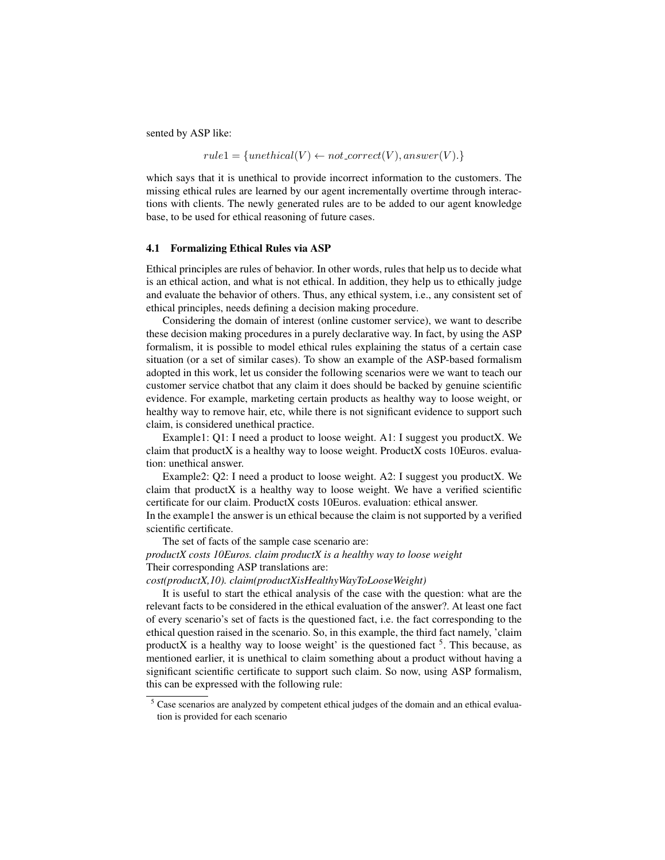sented by ASP like:

 $rule1 = {unethical(V) \leftarrow not\_correct(V), answer(V).}$ 

which says that it is unethical to provide incorrect information to the customers. The missing ethical rules are learned by our agent incrementally overtime through interactions with clients. The newly generated rules are to be added to our agent knowledge base, to be used for ethical reasoning of future cases.

#### 4.1 Formalizing Ethical Rules via ASP

Ethical principles are rules of behavior. In other words, rules that help us to decide what is an ethical action, and what is not ethical. In addition, they help us to ethically judge and evaluate the behavior of others. Thus, any ethical system, i.e., any consistent set of ethical principles, needs defining a decision making procedure.

Considering the domain of interest (online customer service), we want to describe these decision making procedures in a purely declarative way. In fact, by using the ASP formalism, it is possible to model ethical rules explaining the status of a certain case situation (or a set of similar cases). To show an example of the ASP-based formalism adopted in this work, let us consider the following scenarios were we want to teach our customer service chatbot that any claim it does should be backed by genuine scientific evidence. For example, marketing certain products as healthy way to loose weight, or healthy way to remove hair, etc, while there is not significant evidence to support such claim, is considered unethical practice.

Example1: Q1: I need a product to loose weight. A1: I suggest you productX. We claim that productX is a healthy way to loose weight. ProductX costs 10Euros. evaluation: unethical answer.

Example2: Q2: I need a product to loose weight. A2: I suggest you productX. We claim that productX is a healthy way to loose weight. We have a verified scientific certificate for our claim. ProductX costs 10Euros. evaluation: ethical answer.

In the example1 the answer is un ethical because the claim is not supported by a verified scientific certificate.

The set of facts of the sample case scenario are:

*productX costs 10Euros. claim productX is a healthy way to loose weight* Their corresponding ASP translations are:

*cost(productX,10). claim(productXisHealthyWayToLooseWeight)*

It is useful to start the ethical analysis of the case with the question: what are the relevant facts to be considered in the ethical evaluation of the answer?. At least one fact of every scenario's set of facts is the questioned fact, i.e. the fact corresponding to the ethical question raised in the scenario. So, in this example, the third fact namely, 'claim productX is a healthy way to loose weight' is the questioned fact  $5$ . This because, as mentioned earlier, it is unethical to claim something about a product without having a significant scientific certificate to support such claim. So now, using ASP formalism, this can be expressed with the following rule:

<sup>&</sup>lt;sup>5</sup> Case scenarios are analyzed by competent ethical judges of the domain and an ethical evaluation is provided for each scenario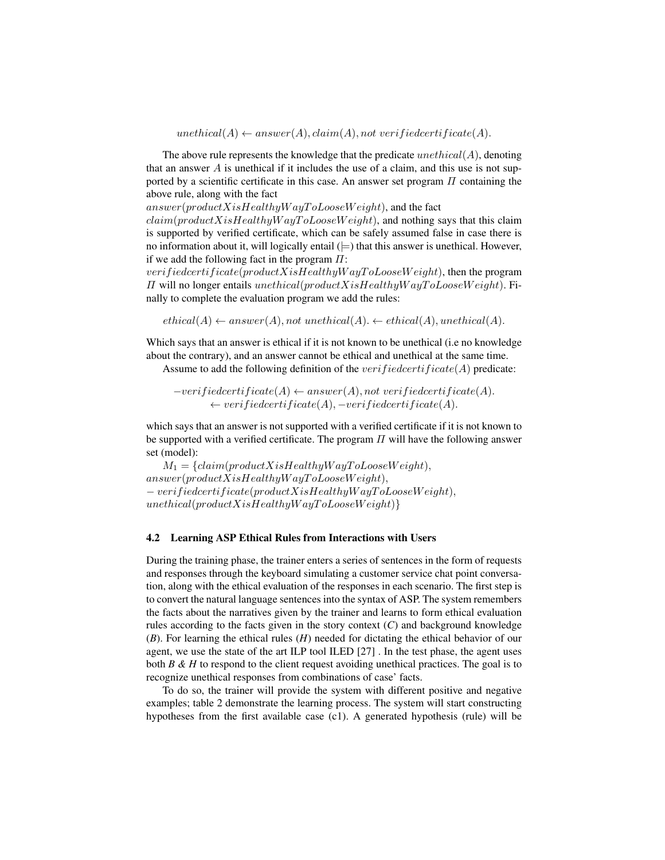$unethical(A) \leftarrow answer(A), claim(A), not verified certificate(A).$ 

The above rule represents the knowledge that the predicate  $unethical(A)$ , denoting that an answer  $A$  is unethical if it includes the use of a claim, and this use is not supported by a scientific certificate in this case. An answer set program  $\Pi$  containing the above rule, along with the fact

 $answer(predX is HealthyWayToLooseWeight)$ , and the fact

 $claim(productXisHealthyWayToLooseWeight)$ , and nothing says that this claim is supported by verified certificate, which can be safely assumed false in case there is no information about it, will logically entail  $()=$ ) that this answer is unethical. However, if we add the following fact in the program  $\Pi$ :

verifiedcertificate(productXisHealthyWayToLooseWeight), then the program  $\Pi$  will no longer entails unethical(productXisHealthyWayToLooseWeight). Finally to complete the evaluation program we add the rules:

 $ethical(A) \leftarrow answer(A)$ , not unethical(A).  $\leftarrow ethical(A)$ , unethical(A).

Which says that an answer is ethical if it is not known to be unethical (i.e no knowledge about the contrary), and an answer cannot be ethical and unethical at the same time.

Assume to add the following definition of the *verifiedcertificate*( $A$ ) predicate:

 $-verified certificate(A) \leftarrow answer(A), not verified certificate(A).$  $\leftarrow verifiedcertlicate(A), -verifiedcertlicate(A).$ 

which says that an answer is not supported with a verified certificate if it is not known to be supported with a verified certificate. The program  $\Pi$  will have the following answer set (model):

 $M_1 = \{claim(preductX is Health y Way To LooseWeight),$  $answer(preductX is Health y Way To LooseWeight),$  $-$  verifiedcertificate(productXisHealthyWayToLooseWeight),  $unethical (product X is Health y Way To LooseWeight)$ }

#### 4.2 Learning ASP Ethical Rules from Interactions with Users

During the training phase, the trainer enters a series of sentences in the form of requests and responses through the keyboard simulating a customer service chat point conversation, along with the ethical evaluation of the responses in each scenario. The first step is to convert the natural language sentences into the syntax of ASP. The system remembers the facts about the narratives given by the trainer and learns to form ethical evaluation rules according to the facts given in the story context  $(C)$  and background knowledge (*B*). For learning the ethical rules (*H*) needed for dictating the ethical behavior of our agent, we use the state of the art ILP tool ILED [27] . In the test phase, the agent uses both *B & H* to respond to the client request avoiding unethical practices. The goal is to recognize unethical responses from combinations of case' facts.

To do so, the trainer will provide the system with different positive and negative examples; table 2 demonstrate the learning process. The system will start constructing hypotheses from the first available case (c1). A generated hypothesis (rule) will be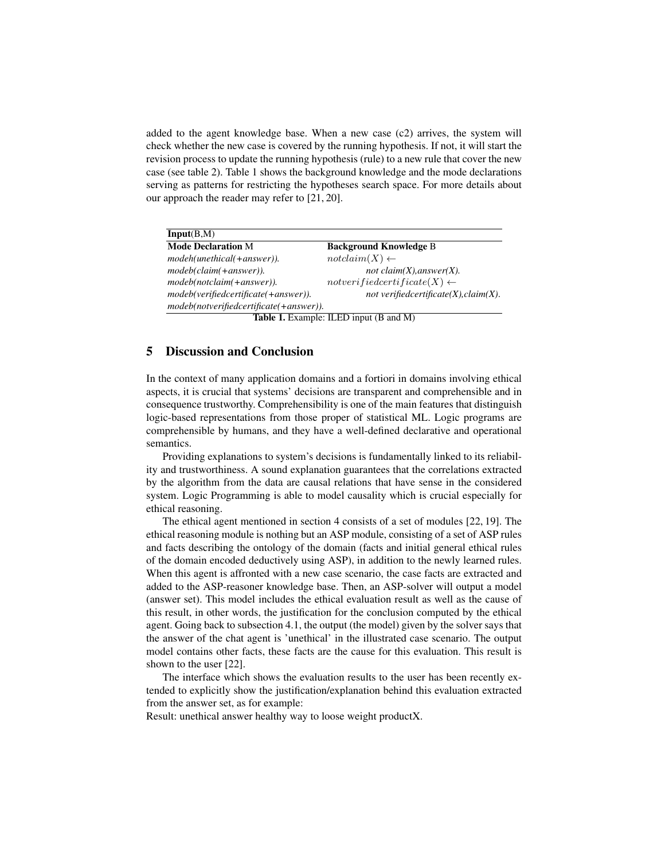added to the agent knowledge base. When a new case (c2) arrives, the system will check whether the new case is covered by the running hypothesis. If not, it will start the revision process to update the running hypothesis (rule) to a new rule that cover the new case (see table 2). Table 1 shows the background knowledge and the mode declarations serving as patterns for restricting the hypotheses search space. For more details about our approach the reader may refer to [21, 20].

| Input(B,M)                              |                                               |
|-----------------------------------------|-----------------------------------------------|
| <b>Mode Declaration M</b>               | <b>Background Knowledge B</b>                 |
| modeh(unethical(+answer)).              | $not claim(X) \leftarrow$                     |
| modeb(claim(+answer)).                  | not claim $(X)$ , answer $(X)$ .              |
| modeb(notclaim(+answer)).               | $not verifiedcertificate(X) \leftarrow$       |
| modeb(verifiedcertificate(+answer)).    | not verifiedcertificate $(X)$ , claim $(X)$ . |
| modeb(notverifiedcertificate(+answer)). |                                               |
|                                         | $T = 1.1$                                     |

Table 1. Example: ILED input (B and M)

# 5 Discussion and Conclusion

In the context of many application domains and a fortiori in domains involving ethical aspects, it is crucial that systems' decisions are transparent and comprehensible and in consequence trustworthy. Comprehensibility is one of the main features that distinguish logic-based representations from those proper of statistical ML. Logic programs are comprehensible by humans, and they have a well-defined declarative and operational semantics.

Providing explanations to system's decisions is fundamentally linked to its reliability and trustworthiness. A sound explanation guarantees that the correlations extracted by the algorithm from the data are causal relations that have sense in the considered system. Logic Programming is able to model causality which is crucial especially for ethical reasoning.

The ethical agent mentioned in section 4 consists of a set of modules [22, 19]. The ethical reasoning module is nothing but an ASP module, consisting of a set of ASP rules and facts describing the ontology of the domain (facts and initial general ethical rules of the domain encoded deductively using ASP), in addition to the newly learned rules. When this agent is affronted with a new case scenario, the case facts are extracted and added to the ASP-reasoner knowledge base. Then, an ASP-solver will output a model (answer set). This model includes the ethical evaluation result as well as the cause of this result, in other words, the justification for the conclusion computed by the ethical agent. Going back to subsection 4.1, the output (the model) given by the solver says that the answer of the chat agent is 'unethical' in the illustrated case scenario. The output model contains other facts, these facts are the cause for this evaluation. This result is shown to the user [22].

The interface which shows the evaluation results to the user has been recently extended to explicitly show the justification/explanation behind this evaluation extracted from the answer set, as for example:

Result: unethical answer healthy way to loose weight productX.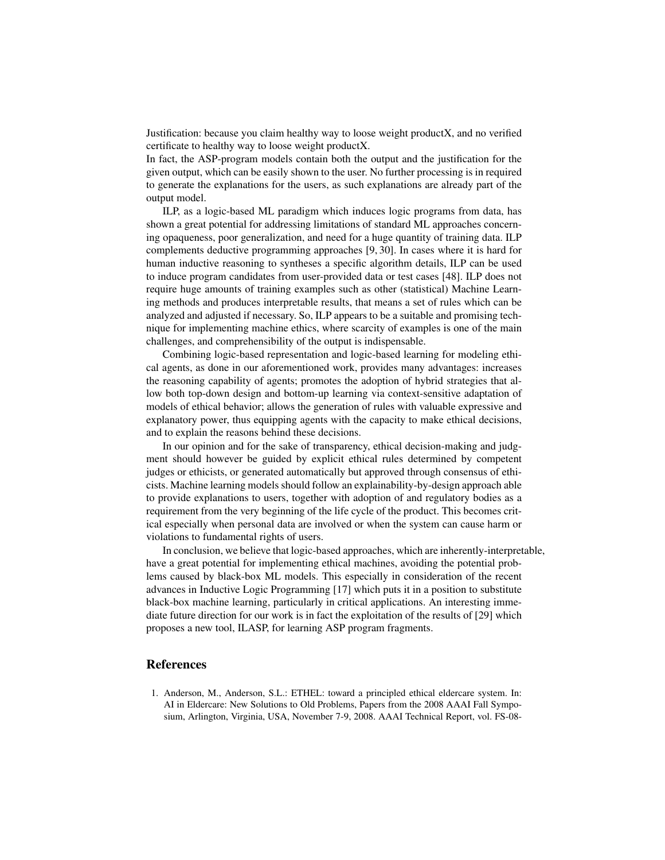Justification: because you claim healthy way to loose weight productX, and no verified certificate to healthy way to loose weight productX.

In fact, the ASP-program models contain both the output and the justification for the given output, which can be easily shown to the user. No further processing is in required to generate the explanations for the users, as such explanations are already part of the output model.

ILP, as a logic-based ML paradigm which induces logic programs from data, has shown a great potential for addressing limitations of standard ML approaches concerning opaqueness, poor generalization, and need for a huge quantity of training data. ILP complements deductive programming approaches [9, 30]. In cases where it is hard for human inductive reasoning to syntheses a specific algorithm details, ILP can be used to induce program candidates from user-provided data or test cases [48]. ILP does not require huge amounts of training examples such as other (statistical) Machine Learning methods and produces interpretable results, that means a set of rules which can be analyzed and adjusted if necessary. So, ILP appears to be a suitable and promising technique for implementing machine ethics, where scarcity of examples is one of the main challenges, and comprehensibility of the output is indispensable.

Combining logic-based representation and logic-based learning for modeling ethical agents, as done in our aforementioned work, provides many advantages: increases the reasoning capability of agents; promotes the adoption of hybrid strategies that allow both top-down design and bottom-up learning via context-sensitive adaptation of models of ethical behavior; allows the generation of rules with valuable expressive and explanatory power, thus equipping agents with the capacity to make ethical decisions, and to explain the reasons behind these decisions.

In our opinion and for the sake of transparency, ethical decision-making and judgment should however be guided by explicit ethical rules determined by competent judges or ethicists, or generated automatically but approved through consensus of ethicists. Machine learning models should follow an explainability-by-design approach able to provide explanations to users, together with adoption of and regulatory bodies as a requirement from the very beginning of the life cycle of the product. This becomes critical especially when personal data are involved or when the system can cause harm or violations to fundamental rights of users.

In conclusion, we believe that logic-based approaches, which are inherently-interpretable, have a great potential for implementing ethical machines, avoiding the potential problems caused by black-box ML models. This especially in consideration of the recent advances in Inductive Logic Programming [17] which puts it in a position to substitute black-box machine learning, particularly in critical applications. An interesting immediate future direction for our work is in fact the exploitation of the results of [29] which proposes a new tool, ILASP, for learning ASP program fragments.

## References

1. Anderson, M., Anderson, S.L.: ETHEL: toward a principled ethical eldercare system. In: AI in Eldercare: New Solutions to Old Problems, Papers from the 2008 AAAI Fall Symposium, Arlington, Virginia, USA, November 7-9, 2008. AAAI Technical Report, vol. FS-08-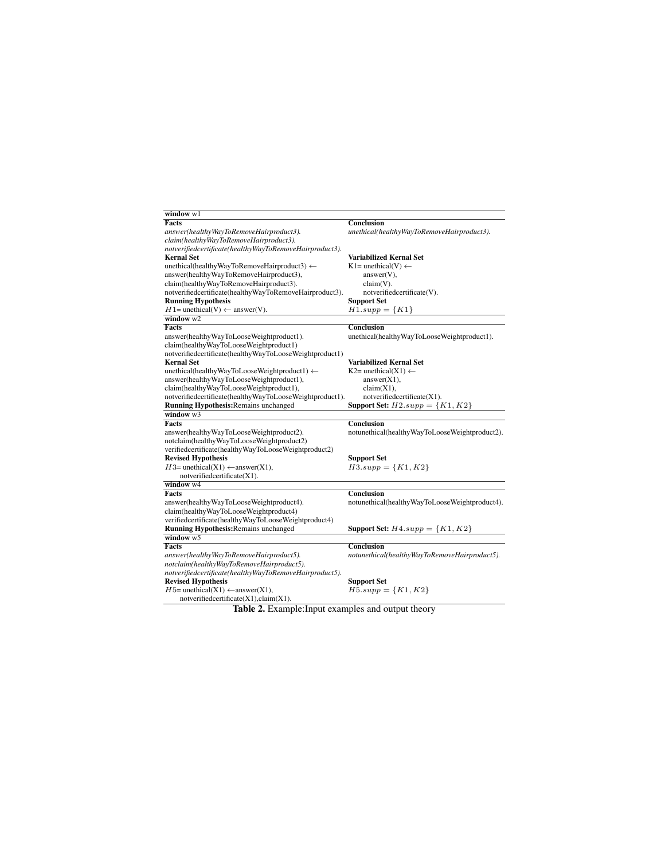| window w1                                                                         |                                                |
|-----------------------------------------------------------------------------------|------------------------------------------------|
| Facts                                                                             | Conclusion                                     |
| answer(healthyWayToRemoveHairproduct3).<br>claim(healthyWayToRemoveHairproduct3). | unethical(healthyWayToRemoveHairproduct3).     |
| notverifiedcertificate(healthyWayToRemoveHairproduct3).                           |                                                |
| <b>Kernal Set</b>                                                                 | <b>Variabilized Kernal Set</b>                 |
| unethical(healthyWayToRemoveHairproduct3) $\leftarrow$                            | $K1 =$ unethical(V) $\leftarrow$               |
| answer(healthyWayToRemoveHairproduct3),                                           | $answer(V)$ ,                                  |
| claim(healthyWayToRemoveHairproduct3).                                            | $claim(V)$ .                                   |
| notverifiedcertificate(healthyWayToRemoveHairproduct3).                           | notverifiedcertificate(V).                     |
| <b>Running Hypothesis</b>                                                         | <b>Support Set</b>                             |
| $H1$ = unethical(V) $\leftarrow$ answer(V).                                       | $H1.support = \{K1\}$                          |
| window $w2$                                                                       |                                                |
| Facts                                                                             | <b>Conclusion</b>                              |
| answer(healthyWayToLooseWeightproduct1).                                          | unethical(healthyWayToLooseWeightproduct1).    |
| claim(healthyWayToLooseWeightproduct1)                                            |                                                |
| notverifiedcertificate(healthyWayToLooseWeightproduct1)                           |                                                |
| <b>Kernal Set</b>                                                                 | <b>Variabilized Kernal Set</b>                 |
| unethical(healthyWayToLooseWeightproduct1) $\leftarrow$                           | $K2=$ unethical(X1) $\leftarrow$               |
| answer(healthyWayToLooseWeightproduct1),                                          | answer(X1),                                    |
| claim(healthyWayToLooseWeightproduct1),                                           | claim(X1),                                     |
| notverifiedcertificate(healthyWayToLooseWeightproduct1).                          | notverifiedcertificate(X1).                    |
| Running Hypothesis: Remains unchanged                                             | Support Set: $H2.\text{supp} = \{K1, K2\}$     |
| window $\overline{w3}$                                                            |                                                |
| <b>Facts</b>                                                                      | <b>Conclusion</b>                              |
| answer(healthyWayToLooseWeightproduct2).                                          | notunethical(healthyWayToLooseWeightproduct2). |
| notclaim(healthyWayToLooseWeightproduct2)                                         |                                                |
| verifiedcertificate(healthyWayToLooseWeightproduct2)                              |                                                |
| <b>Revised Hypothesis</b>                                                         | <b>Support Set</b>                             |
| $H3=$ unethical(X1) $\leftarrow$ answer(X1),                                      | $H3.\text{supp} = \{K1, K2\}$                  |
| notverifiedcertificate(X1).                                                       |                                                |
| window w4                                                                         |                                                |
| Facts                                                                             | <b>Conclusion</b>                              |
| answer(healthyWayToLooseWeightproduct4).                                          | notunethical(healthyWayToLooseWeightproduct4). |
| claim(healthyWayToLooseWeightproduct4)                                            |                                                |
| verifiedcertificate(healthyWayToLooseWeightproduct4)                              |                                                |
| <b>Running Hypothesis: Remains unchanged</b>                                      | Support Set: $H4.\text{supp} = \{K1, K2\}$     |
| window $w5$                                                                       |                                                |
| Facts                                                                             | <b>Conclusion</b>                              |
| answer(healthyWayToRemoveHairproduct5).                                           | notunethical(healthyWayToRemoveHairproduct5).  |
| notclaim(healthyWayToRemoveHairproduct5).                                         |                                                |
| notverifiedcertificate(healthyWayToRemoveHairproduct5).                           |                                                |
| <b>Revised Hypothesis</b>                                                         | <b>Support Set</b>                             |
| $H5$ = unethical(X1) $\leftarrow$ answer(X1),                                     | $H5.support = \{K1, K2\}$                      |
| notverifiedcertificate(X1),claim(X1).                                             |                                                |

Table 2. Example: Input examples and output theory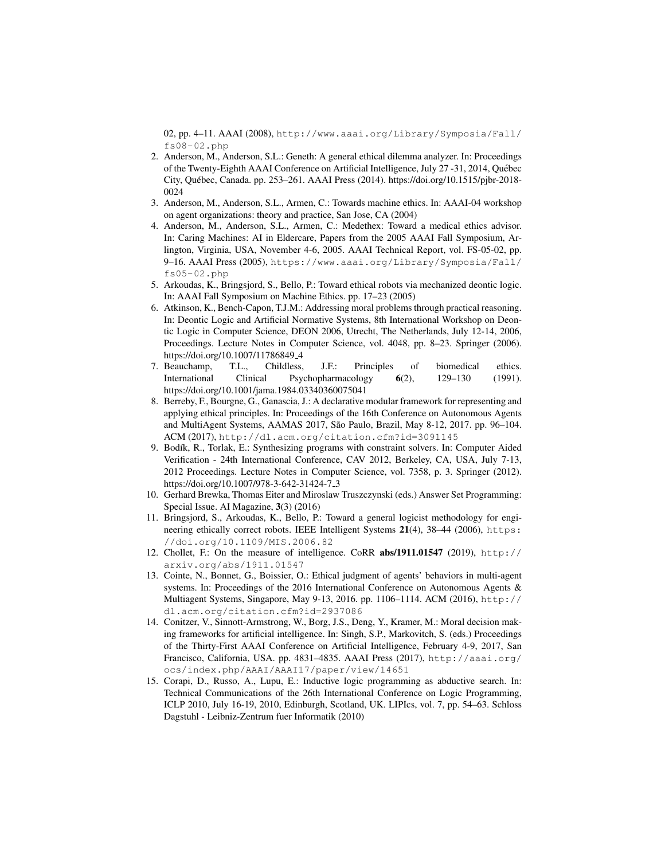02, pp. 4–11. AAAI (2008), http://www.aaai.org/Library/Symposia/Fall/  $fs08-02.$ php

- 2. Anderson, M., Anderson, S.L.: Geneth: A general ethical dilemma analyzer. In: Proceedings of the Twenty-Eighth AAAI Conference on Artificial Intelligence, July 27 -31, 2014, Quebec ´ City, Quebec, Canada. pp. 253–261. AAAI Press (2014). https://doi.org/10.1515/pjbr-2018- ´ 0024
- 3. Anderson, M., Anderson, S.L., Armen, C.: Towards machine ethics. In: AAAI-04 workshop on agent organizations: theory and practice, San Jose, CA (2004)
- 4. Anderson, M., Anderson, S.L., Armen, C.: Medethex: Toward a medical ethics advisor. In: Caring Machines: AI in Eldercare, Papers from the 2005 AAAI Fall Symposium, Arlington, Virginia, USA, November 4-6, 2005. AAAI Technical Report, vol. FS-05-02, pp. 9–16. AAAI Press (2005), https://www.aaai.org/Library/Symposia/Fall/ fs05-02.php
- 5. Arkoudas, K., Bringsjord, S., Bello, P.: Toward ethical robots via mechanized deontic logic. In: AAAI Fall Symposium on Machine Ethics. pp. 17–23 (2005)
- 6. Atkinson, K., Bench-Capon, T.J.M.: Addressing moral problems through practical reasoning. In: Deontic Logic and Artificial Normative Systems, 8th International Workshop on Deontic Logic in Computer Science, DEON 2006, Utrecht, The Netherlands, July 12-14, 2006, Proceedings. Lecture Notes in Computer Science, vol. 4048, pp. 8–23. Springer (2006). https://doi.org/10.1007/11786849<sub>-4</sub>
- 7. Beauchamp, T.L., Childless, J.F.: Principles of biomedical ethics. International Clinical Psychopharmacology 6(2), 129–130 (1991). https://doi.org/10.1001/jama.1984.03340360075041
- 8. Berreby, F., Bourgne, G., Ganascia, J.: A declarative modular framework for representing and applying ethical principles. In: Proceedings of the 16th Conference on Autonomous Agents and MultiAgent Systems, AAMAS 2017, São Paulo, Brazil, May 8-12, 2017. pp. 96-104. ACM (2017), http://dl.acm.org/citation.cfm?id=3091145
- 9. Bodík, R., Torlak, E.: Synthesizing programs with constraint solvers. In: Computer Aided Verification - 24th International Conference, CAV 2012, Berkeley, CA, USA, July 7-13, 2012 Proceedings. Lecture Notes in Computer Science, vol. 7358, p. 3. Springer (2012). https://doi.org/10.1007/978-3-642-31424-7 3
- 10. Gerhard Brewka, Thomas Eiter and Miroslaw Truszczynski (eds.) Answer Set Programming: Special Issue. AI Magazine, 3(3) (2016)
- 11. Bringsjord, S., Arkoudas, K., Bello, P.: Toward a general logicist methodology for engineering ethically correct robots. IEEE Intelligent Systems 21(4), 38-44 (2006), https: //doi.org/10.1109/MIS.2006.82
- 12. Chollet, F.: On the measure of intelligence. CoRR abs/1911.01547 (2019), http:// arxiv.org/abs/1911.01547
- 13. Cointe, N., Bonnet, G., Boissier, O.: Ethical judgment of agents' behaviors in multi-agent systems. In: Proceedings of the 2016 International Conference on Autonomous Agents & Multiagent Systems, Singapore, May 9-13, 2016. pp. 1106–1114. ACM (2016), http:// dl.acm.org/citation.cfm?id=2937086
- 14. Conitzer, V., Sinnott-Armstrong, W., Borg, J.S., Deng, Y., Kramer, M.: Moral decision making frameworks for artificial intelligence. In: Singh, S.P., Markovitch, S. (eds.) Proceedings of the Thirty-First AAAI Conference on Artificial Intelligence, February 4-9, 2017, San Francisco, California, USA. pp. 4831–4835. AAAI Press (2017), http://aaai.org/ ocs/index.php/AAAI/AAAI17/paper/view/14651
- 15. Corapi, D., Russo, A., Lupu, E.: Inductive logic programming as abductive search. In: Technical Communications of the 26th International Conference on Logic Programming, ICLP 2010, July 16-19, 2010, Edinburgh, Scotland, UK. LIPIcs, vol. 7, pp. 54–63. Schloss Dagstuhl - Leibniz-Zentrum fuer Informatik (2010)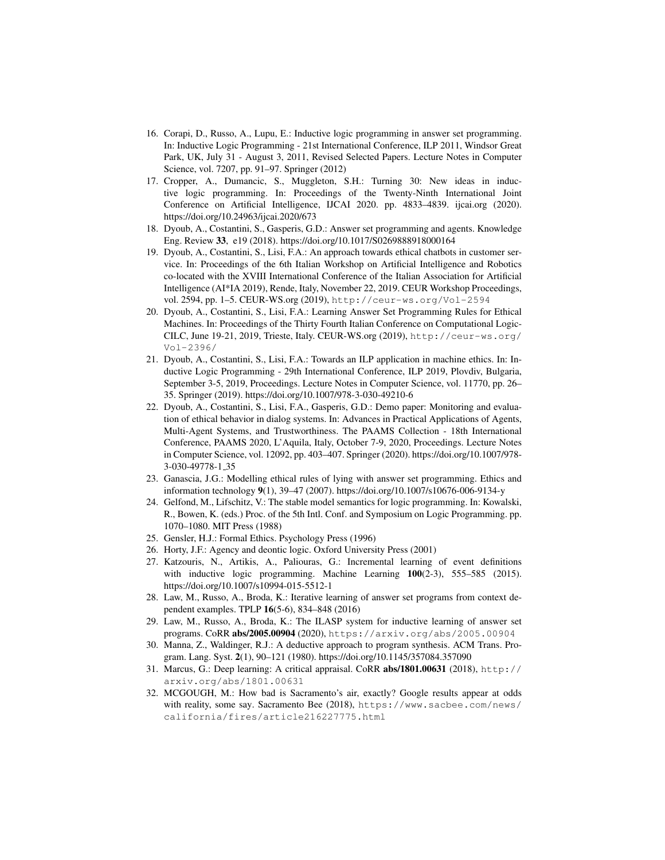- 16. Corapi, D., Russo, A., Lupu, E.: Inductive logic programming in answer set programming. In: Inductive Logic Programming - 21st International Conference, ILP 2011, Windsor Great Park, UK, July 31 - August 3, 2011, Revised Selected Papers. Lecture Notes in Computer Science, vol. 7207, pp. 91–97. Springer (2012)
- 17. Cropper, A., Dumancic, S., Muggleton, S.H.: Turning 30: New ideas in inductive logic programming. In: Proceedings of the Twenty-Ninth International Joint Conference on Artificial Intelligence, IJCAI 2020. pp. 4833–4839. ijcai.org (2020). https://doi.org/10.24963/ijcai.2020/673
- 18. Dyoub, A., Costantini, S., Gasperis, G.D.: Answer set programming and agents. Knowledge Eng. Review 33, e19 (2018). https://doi.org/10.1017/S0269888918000164
- 19. Dyoub, A., Costantini, S., Lisi, F.A.: An approach towards ethical chatbots in customer service. In: Proceedings of the 6th Italian Workshop on Artificial Intelligence and Robotics co-located with the XVIII International Conference of the Italian Association for Artificial Intelligence (AI\*IA 2019), Rende, Italy, November 22, 2019. CEUR Workshop Proceedings, vol. 2594, pp. 1–5. CEUR-WS.org (2019), http://ceur-ws.org/Vol-2594
- 20. Dyoub, A., Costantini, S., Lisi, F.A.: Learning Answer Set Programming Rules for Ethical Machines. In: Proceedings of the Thirty Fourth Italian Conference on Computational Logic-CILC, June 19-21, 2019, Trieste, Italy. CEUR-WS.org (2019), http://ceur-ws.org/ Vol-2396/
- 21. Dyoub, A., Costantini, S., Lisi, F.A.: Towards an ILP application in machine ethics. In: Inductive Logic Programming - 29th International Conference, ILP 2019, Plovdiv, Bulgaria, September 3-5, 2019, Proceedings. Lecture Notes in Computer Science, vol. 11770, pp. 26– 35. Springer (2019). https://doi.org/10.1007/978-3-030-49210-6
- 22. Dyoub, A., Costantini, S., Lisi, F.A., Gasperis, G.D.: Demo paper: Monitoring and evaluation of ethical behavior in dialog systems. In: Advances in Practical Applications of Agents, Multi-Agent Systems, and Trustworthiness. The PAAMS Collection - 18th International Conference, PAAMS 2020, L'Aquila, Italy, October 7-9, 2020, Proceedings. Lecture Notes in Computer Science, vol. 12092, pp. 403–407. Springer (2020). https://doi.org/10.1007/978- 3-030-49778-1 35
- 23. Ganascia, J.G.: Modelling ethical rules of lying with answer set programming. Ethics and information technology 9(1), 39–47 (2007). https://doi.org/10.1007/s10676-006-9134-y
- 24. Gelfond, M., Lifschitz, V.: The stable model semantics for logic programming. In: Kowalski, R., Bowen, K. (eds.) Proc. of the 5th Intl. Conf. and Symposium on Logic Programming. pp. 1070–1080. MIT Press (1988)
- 25. Gensler, H.J.: Formal Ethics. Psychology Press (1996)
- 26. Horty, J.F.: Agency and deontic logic. Oxford University Press (2001)
- 27. Katzouris, N., Artikis, A., Paliouras, G.: Incremental learning of event definitions with inductive logic programming. Machine Learning 100(2-3), 555–585 (2015). https://doi.org/10.1007/s10994-015-5512-1
- 28. Law, M., Russo, A., Broda, K.: Iterative learning of answer set programs from context dependent examples. TPLP 16(5-6), 834–848 (2016)
- 29. Law, M., Russo, A., Broda, K.: The ILASP system for inductive learning of answer set programs. CoRR abs/2005.00904 (2020), https://arxiv.org/abs/2005.00904
- 30. Manna, Z., Waldinger, R.J.: A deductive approach to program synthesis. ACM Trans. Program. Lang. Syst. 2(1), 90–121 (1980). https://doi.org/10.1145/357084.357090
- 31. Marcus, G.: Deep learning: A critical appraisal. CoRR abs/1801.00631 (2018), http:// arxiv.org/abs/1801.00631
- 32. MCGOUGH, M.: How bad is Sacramento's air, exactly? Google results appear at odds with reality, some say. Sacramento Bee (2018), https://www.sacbee.com/news/ california/fires/article216227775.html